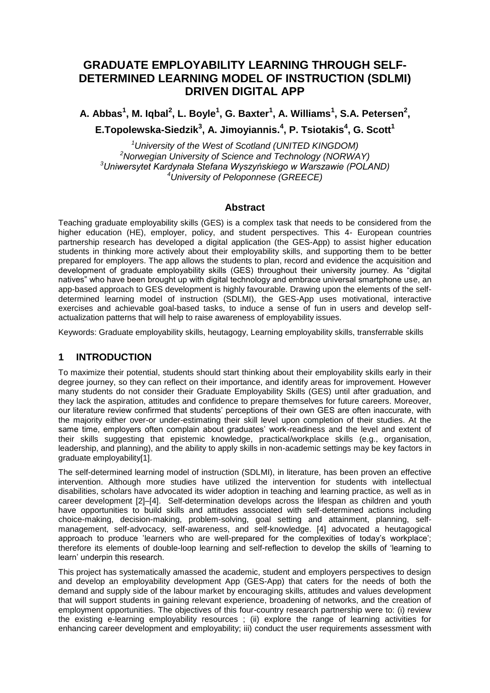# **GRADUATE EMPLOYABILITY LEARNING THROUGH SELF-DETERMINED LEARNING MODEL OF INSTRUCTION (SDLMI) DRIVEN DIGITAL APP**

**A. Abbas<sup>1</sup> , M. Iqbal<sup>2</sup> , L. Boyle<sup>1</sup> , G. Baxter<sup>1</sup> , A. Williams<sup>1</sup> , S.A. Petersen 2 ,** 

**E.Topolewska-Siedzik<sup>3</sup> , A. Jimoyiannis.<sup>4</sup> , P. Tsiotakis<sup>4</sup> , G. Scott<sup>1</sup>**

*University of the West of Scotland (UNITED KINGDOM) Norwegian University of Science and Technology (NORWAY) Uniwersytet Kardynała Stefana Wyszyńskiego w Warszawie (POLAND) University of Peloponnese (GREECE)*

### **Abstract**

Teaching graduate employability skills (GES) is a complex task that needs to be considered from the higher education (HE), employer, policy, and student perspectives. This 4- European countries partnership research has developed a digital application (the GES-App) to assist higher education students in thinking more actively about their employability skills, and supporting them to be better prepared for employers. The app allows the students to plan, record and evidence the acquisition and development of graduate employability skills (GES) throughout their university journey. As "digital natives" who have been brought up with digital technology and embrace universal smartphone use, an app-based approach to GES development is highly favourable. Drawing upon the elements of the selfdetermined learning model of instruction (SDLMI), the GES-App uses motivational, interactive exercises and achievable goal-based tasks, to induce a sense of fun in users and develop selfactualization patterns that will help to raise awareness of employability issues.

Keywords: Graduate employability skills, heutagogy, Learning employability skills, transferrable skills

## **1 INTRODUCTION**

To maximize their potential, students should start thinking about their employability skills early in their degree journey, so they can reflect on their importance, and identify areas for improvement. However many students do not consider their Graduate Employability Skills (GES) until after graduation, and they lack the aspiration, attitudes and confidence to prepare themselves for future careers. Moreover, our literature review confirmed that students" perceptions of their own GES are often inaccurate, with the majority either over-or under-estimating their skill level upon completion of their studies. At the same time, employers often complain about graduates' work-readiness and the level and extent of their skills suggesting that epistemic knowledge, practical/workplace skills (e.g., organisation, leadership, and planning), and the ability to apply skills in non-academic settings may be key factors in graduate employability[1].

The self-determined learning model of instruction (SDLMI), in literature, has been proven an effective intervention. Although more studies have utilized the intervention for students with intellectual disabilities, scholars have advocated its wider adoption in teaching and learning practice, as well as in career development [2]–[4]. Self-determination develops across the lifespan as children and youth have opportunities to build skills and attitudes associated with self-determined actions including choice-making, decision-making, problem-solving, goal setting and attainment, planning, selfmanagement, self-advocacy, self-awareness, and self-knowledge. [4] advocated a heutagogical approach to produce "learners who are well-prepared for the complexities of today"s workplace"; therefore its elements of double-loop learning and self-reflection to develop the skills of "learning to learn' underpin this research.

This project has systematically amassed the academic, student and employers perspectives to design and develop an employability development App (GES-App) that caters for the needs of both the demand and supply side of the labour market by encouraging skills, attitudes and values development that will support students in gaining relevant experience, broadening of networks, and the creation of employment opportunities. The objectives of this four-country research partnership were to: (i) review the existing e-learning employability resources ; (ii) explore the range of learning activities for enhancing career development and employability; iii) conduct the user requirements assessment with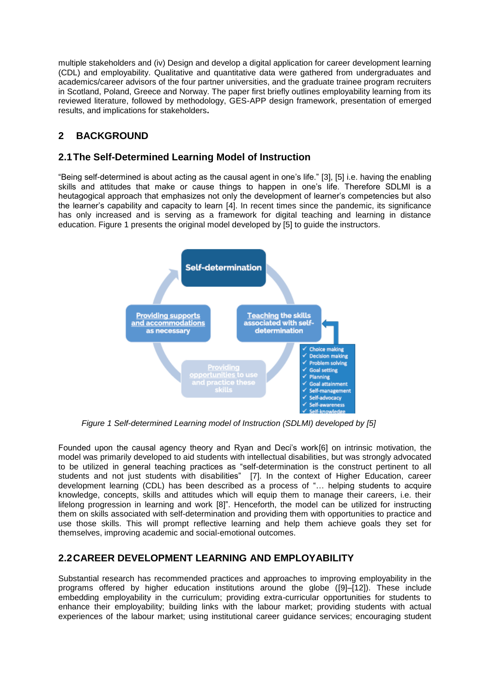multiple stakeholders and (iv) Design and develop a digital application for career development learning (CDL) and employability. Qualitative and quantitative data were gathered from undergraduates and academics/career advisors of the four partner universities, and the graduate trainee program recruiters in Scotland, Poland, Greece and Norway. The paper first briefly outlines employability learning from its reviewed literature, followed by methodology, GES-APP design framework, presentation of emerged results, and implications for stakeholders**.**

# **2 BACKGROUND**

## **2.1The Self-Determined Learning Model of Instruction**

"Being self-determined is about acting as the causal agent in one"s life." [3], [5] i.e. having the enabling skills and attitudes that make or cause things to happen in one's life. Therefore SDLMI is a heutagogical approach that emphasizes not only the development of learner"s competencies but also the learner"s capability and capacity to learn [4]. In recent times since the pandemic, its significance has only increased and is serving as a framework for digital teaching and learning in distance education. Figure 1 presents the original model developed by [5] to guide the instructors.



*Figure 1 Self-determined Learning model of Instruction (SDLMI) developed by [5]*

Founded upon the causal agency theory and Ryan and Deci"s work[6] on intrinsic motivation, the model was primarily developed to aid students with intellectual disabilities, but was strongly advocated to be utilized in general teaching practices as "self-determination is the construct pertinent to all students and not just students with disabilities" [7]. In the context of Higher Education, career development learning (CDL) has been described as a process of "… helping students to acquire knowledge, concepts, skills and attitudes which will equip them to manage their careers, i.e. their lifelong progression in learning and work [8]". Henceforth, the model can be utilized for instructing them on skills associated with self-determination and providing them with opportunities to practice and use those skills. This will prompt reflective learning and help them achieve goals they set for themselves, improving academic and social-emotional outcomes.

## **2.2CAREER DEVELOPMENT LEARNING AND EMPLOYABILITY**

Substantial research has recommended practices and approaches to improving employability in the programs offered by higher education institutions around the globe ([9]–[12]). These include embedding employability in the curriculum; providing extra-curricular opportunities for students to enhance their employability; building links with the labour market; providing students with actual experiences of the labour market; using institutional career guidance services; encouraging student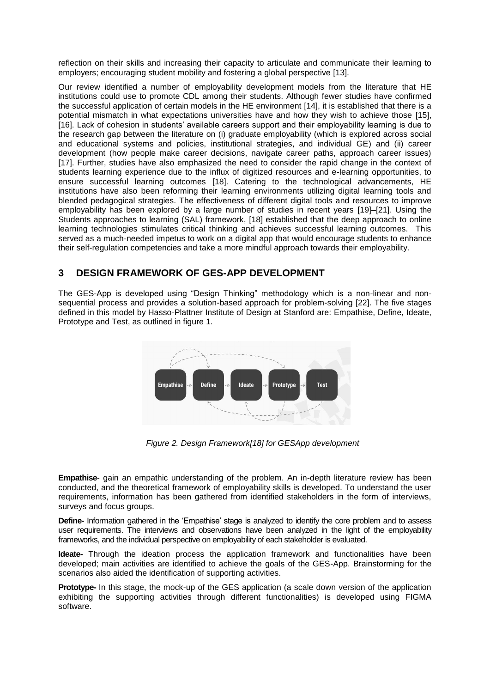reflection on their skills and increasing their capacity to articulate and communicate their learning to employers; encouraging student mobility and fostering a global perspective [13].

Our review identified a number of employability development models from the literature that HE institutions could use to promote CDL among their students. Although fewer studies have confirmed the successful application of certain models in the HE environment [14], it is established that there is a potential mismatch in what expectations universities have and how they wish to achieve those [15], [16]. Lack of cohesion in students" available careers support and their employability learning is due to the research gap between the literature on (i) graduate employability (which is explored across social and educational systems and policies, institutional strategies, and individual GE) and (ii) career development (how people make career decisions, navigate career paths, approach career issues) [17]. Further, studies have also emphasized the need to consider the rapid change in the context of students learning experience due to the influx of digitized resources and e-learning opportunities, to ensure successful learning outcomes [18]. Catering to the technological advancements, HE institutions have also been reforming their learning environments utilizing digital learning tools and blended pedagogical strategies. The effectiveness of different digital tools and resources to improve employability has been explored by a large number of studies in recent years [19]–[21]. Using the Students approaches to learning (SAL) framework, [18] established that the deep approach to online learning technologies stimulates critical thinking and achieves successful learning outcomes. This served as a much-needed impetus to work on a digital app that would encourage students to enhance their self-regulation competencies and take a more mindful approach towards their employability.

## **3 DESIGN FRAMEWORK OF GES-APP DEVELOPMENT**

The GES-App is developed using "Design Thinking" methodology which is a non-linear and nonsequential process and provides a solution-based approach for problem-solving [22]. The five stages defined in this model by Hasso-Plattner Institute of Design at Stanford are: Empathise, Define, Ideate, Prototype and Test, as outlined in figure 1.



*Figure 2. Design Framework[18] for GESApp development*

**Empathise**- gain an empathic understanding of the problem. An in-depth literature review has been conducted, and the theoretical framework of employability skills is developed. To understand the user requirements, information has been gathered from identified stakeholders in the form of interviews, surveys and focus groups.

**Define-** Information gathered in the "Empathise" stage is analyzed to identify the core problem and to assess user requirements. The interviews and observations have been analyzed in the light of the employability frameworks, and the individual perspective on employability of each stakeholder is evaluated.

**Ideate-** Through the ideation process the application framework and functionalities have been developed; main activities are identified to achieve the goals of the GES-App. Brainstorming for the scenarios also aided the identification of supporting activities.

**Prototype-** In this stage, the mock-up of the GES application (a scale down version of the application exhibiting the supporting activities through different functionalities) is developed using FIGMA software.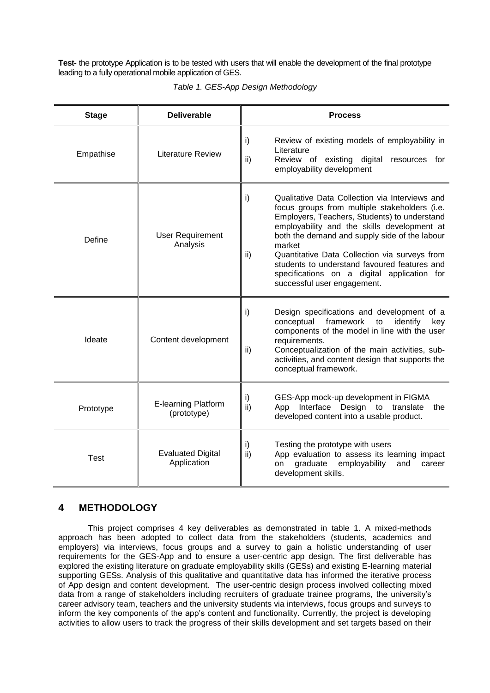**Test-** the prototype Application is to be tested with users that will enable the development of the final prototype leading to a fully operational mobile application of GES.

| <b>Stage</b> | <b>Deliverable</b>                      | <b>Process</b>                                                                                                                                                                                                                                                                                                                                                                                                                                        |
|--------------|-----------------------------------------|-------------------------------------------------------------------------------------------------------------------------------------------------------------------------------------------------------------------------------------------------------------------------------------------------------------------------------------------------------------------------------------------------------------------------------------------------------|
| Empathise    | <b>Literature Review</b>                | i)<br>Review of existing models of employability in<br>Literature<br>Review of existing digital<br>ii)<br>resources for<br>employability development                                                                                                                                                                                                                                                                                                  |
| Define       | <b>User Requirement</b><br>Analysis     | i)<br>Qualitative Data Collection via Interviews and<br>focus groups from multiple stakeholders (i.e.<br>Employers, Teachers, Students) to understand<br>employability and the skills development at<br>both the demand and supply side of the labour<br>market<br>ii)<br>Quantitative Data Collection via surveys from<br>students to understand favoured features and<br>specifications on a digital application for<br>successful user engagement. |
| Ideate       | Content development                     | i)<br>Design specifications and development of a<br>framework<br>identify<br>conceptual<br>key<br>to<br>components of the model in line with the user<br>requirements.<br>Conceptualization of the main activities, sub-<br>ii)<br>activities, and content design that supports the<br>conceptual framework.                                                                                                                                          |
| Prototype    | E-learning Platform<br>(prototype)      | GES-App mock-up development in FIGMA<br>i)<br>ii)<br>App Interface Design to translate<br>the<br>developed content into a usable product.                                                                                                                                                                                                                                                                                                             |
| <b>Test</b>  | <b>Evaluated Digital</b><br>Application | Testing the prototype with users<br>i)<br>App evaluation to assess its learning impact<br>ii)<br>graduate<br>employability<br>on<br>and<br>career<br>development skills.                                                                                                                                                                                                                                                                              |

| Table 1. GES-App Design Methodology |  |  |  |  |
|-------------------------------------|--|--|--|--|
|-------------------------------------|--|--|--|--|

## **4 METHODOLOGY**

This project comprises 4 key deliverables as demonstrated in table 1. A mixed-methods approach has been adopted to collect data from the stakeholders (students, academics and employers) via interviews, focus groups and a survey to gain a holistic understanding of user requirements for the GES-App and to ensure a user-centric app design. The first deliverable has explored the existing literature on graduate employability skills (GESs) and existing E-learning material supporting GESs. Analysis of this qualitative and quantitative data has informed the iterative process of App design and content development. The user-centric design process involved collecting mixed data from a range of stakeholders including recruiters of graduate trainee programs, the university"s career advisory team, teachers and the university students via interviews, focus groups and surveys to inform the key components of the app"s content and functionality. Currently, the project is developing activities to allow users to track the progress of their skills development and set targets based on their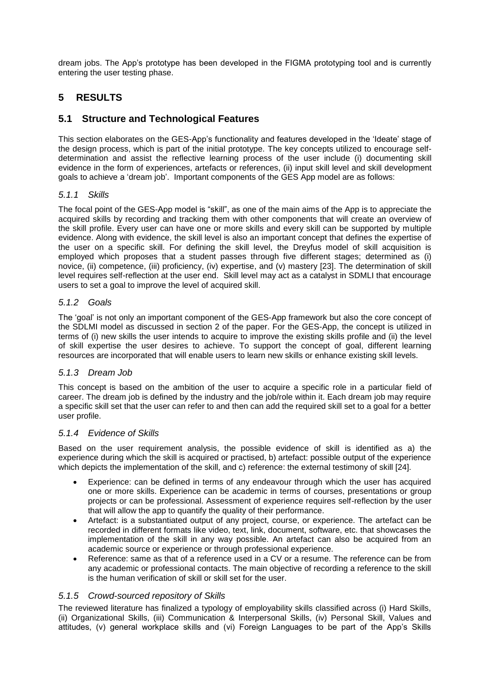dream jobs. The App"s prototype has been developed in the FIGMA prototyping tool and is currently entering the user testing phase.

## **5 RESULTS**

## **5.1 Structure and Technological Features**

This section elaborates on the GES-App's functionality and features developed in the 'Ideate' stage of the design process, which is part of the initial prototype. The key concepts utilized to encourage selfdetermination and assist the reflective learning process of the user include (i) documenting skill evidence in the form of experiences, artefacts or references, (ii) input skill level and skill development goals to achieve a "dream job". Important components of the GES App model are as follows:

### *5.1.1 Skills*

The focal point of the GES-App model is "skill", as one of the main aims of the App is to appreciate the acquired skills by recording and tracking them with other components that will create an overview of the skill profile. Every user can have one or more skills and every skill can be supported by multiple evidence. Along with evidence, the skill level is also an important concept that defines the expertise of the user on a specific skill. For defining the skill level, the Dreyfus model of skill acquisition is employed which proposes that a student passes through five different stages; determined as (i) novice, (ii) competence, (iii) proficiency, (iv) expertise, and (v) mastery [23]. The determination of skill level requires self-reflection at the user end. Skill level may act as a catalyst in SDMLI that encourage users to set a goal to improve the level of acquired skill.

### *5.1.2 Goals*

The "goal" is not only an important component of the GES-App framework but also the core concept of the SDLMI model as discussed in section 2 of the paper. For the GES-App, the concept is utilized in terms of (i) new skills the user intends to acquire to improve the existing skills profile and (ii) the level of skill expertise the user desires to achieve. To support the concept of goal, different learning resources are incorporated that will enable users to learn new skills or enhance existing skill levels.

#### *5.1.3 Dream Job*

This concept is based on the ambition of the user to acquire a specific role in a particular field of career. The dream job is defined by the industry and the job/role within it. Each dream job may require a specific skill set that the user can refer to and then can add the required skill set to a goal for a better user profile.

#### *5.1.4 Evidence of Skills*

Based on the user requirement analysis, the possible evidence of skill is identified as a) the experience during which the skill is acquired or practised, b) artefact: possible output of the experience which depicts the implementation of the skill, and c) reference: the external testimony of skill [24].

- Experience: can be defined in terms of any endeavour through which the user has acquired one or more skills. Experience can be academic in terms of courses, presentations or group projects or can be professional. Assessment of experience requires self-reflection by the user that will allow the app to quantify the quality of their performance.
- Artefact: is a substantiated output of any project, course, or experience. The artefact can be recorded in different formats like video, text, link, document, software, etc. that showcases the implementation of the skill in any way possible. An artefact can also be acquired from an academic source or experience or through professional experience.
- Reference: same as that of a reference used in a CV or a resume. The reference can be from any academic or professional contacts. The main objective of recording a reference to the skill is the human verification of skill or skill set for the user.

#### *5.1.5 Crowd-sourced repository of Skills*

The reviewed literature has finalized a typology of employability skills classified across (i) Hard Skills, (ii) Organizational Skills, (iii) Communication & Interpersonal Skills, (iv) Personal Skill, Values and attitudes, (v) general workplace skills and (vi) Foreign Languages to be part of the App"s Skills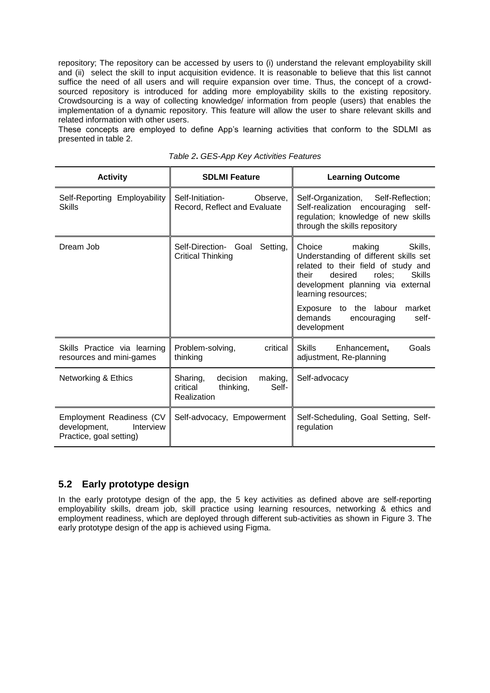repository; The repository can be accessed by users to (i) understand the relevant employability skill and (ii) select the skill to input acquisition evidence. It is reasonable to believe that this list cannot suffice the need of all users and will require expansion over time. Thus, the concept of a crowdsourced repository is introduced for adding more employability skills to the existing repository. Crowdsourcing is a way of collecting knowledge/ information from people (users) that enables the implementation of a dynamic repository. This feature will allow the user to share relevant skills and related information with other users.

These concepts are employed to define App's learning activities that conform to the SDLMI as presented in table 2.

| <b>Activity</b>                                                                                               | <b>SDLMI Feature</b>                                                             | <b>Learning Outcome</b>                                                                                                                                                                                                                                                                                      |  |
|---------------------------------------------------------------------------------------------------------------|----------------------------------------------------------------------------------|--------------------------------------------------------------------------------------------------------------------------------------------------------------------------------------------------------------------------------------------------------------------------------------------------------------|--|
| Self-Initiation-<br>Self-Reporting Employability<br>Observe,<br><b>Skills</b><br>Record, Reflect and Evaluate |                                                                                  | Self-Organization, Self-Reflection;<br>Self-realization encouraging<br>self-<br>regulation; knowledge of new skills<br>through the skills repository                                                                                                                                                         |  |
| Dream Job                                                                                                     | Self-Direction- Goal<br>Setting,<br><b>Critical Thinking</b>                     | Choice<br>making<br>Skills.<br>Understanding of different skills set<br>related to their field of study and<br><b>Skills</b><br>desired<br>their<br>roles:<br>development planning via external<br>learning resources;<br>Exposure to the labour<br>market<br>demands<br>self-<br>encouraging<br>development |  |
| Skills Practice via learning<br>resources and mini-games                                                      | Problem-solving,<br>critical<br>thinking                                         | <b>Skills</b><br>Goals<br>Enhancement,<br>adjustment, Re-planning                                                                                                                                                                                                                                            |  |
| Networking & Ethics                                                                                           | Sharing,<br>decision<br>making,<br>Self-<br>critical<br>thinking,<br>Realization | Self-advocacy                                                                                                                                                                                                                                                                                                |  |
| Employment Readiness (CV<br>development,<br>Interview<br>Practice, goal setting)                              | Self-advocacy, Empowerment                                                       | Self-Scheduling, Goal Setting, Self-<br>regulation                                                                                                                                                                                                                                                           |  |

|  |  |  | Table 2. GES-App Key Activities Features |  |
|--|--|--|------------------------------------------|--|
|--|--|--|------------------------------------------|--|

## **5.2 Early prototype design**

In the early prototype design of the app, the 5 key activities as defined above are self-reporting employability skills, dream job, skill practice using learning resources, networking & ethics and employment readiness, which are deployed through different sub-activities as shown in Figure 3. The early prototype design of the app is achieved using Figma.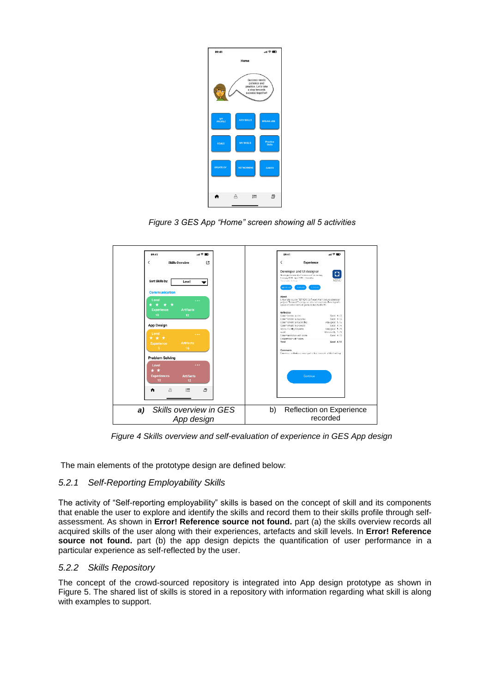| 09:41                | 証金庫                                                                                          |
|----------------------|----------------------------------------------------------------------------------------------|
|                      | Home                                                                                         |
| $\overline{a}$       | Success needs<br>patience and<br>practice. Let's take<br>a step towards<br>success together! |
| мÝ<br><b>PROFILE</b> | <b>ADD SKILLS</b><br>DREAM JOB                                                               |
| <b>GOALS</b>         | Practice<br>MY SKILLS<br><b>Skills</b>                                                       |
| <b>CREATE CV</b>     | <b>NETWORKING</b><br><b>GAMES</b>                                                            |
|                      | ð<br>д<br>這                                                                                  |

*Figure 3 GES App "Home" screen showing all 5 activities*



*Figure 4 Skills overview and self-evaluation of experience in GES App design*

The main elements of the prototype design are defined below:

## *5.2.1 Self-Reporting Employability Skills*

The activity of "Self-reporting employability" skills is based on the concept of skill and its components that enable the user to explore and identify the skills and record them to their skills profile through selfassessment. As shown in **Error! Reference source not found.** part (a) the skills overview records all acquired skills of the user along with their experiences, artefacts and skill levels. In **Error! Reference**  source not found. part (b) the app design depicts the quantification of user performance in a particular experience as self-reflected by the user.

## *5.2.2 Skills Repository*

The concept of the crowd-sourced repository is integrated into App design prototype as shown in Figure 5. The shared list of skills is stored in a repository with information regarding what skill is along with examples to support.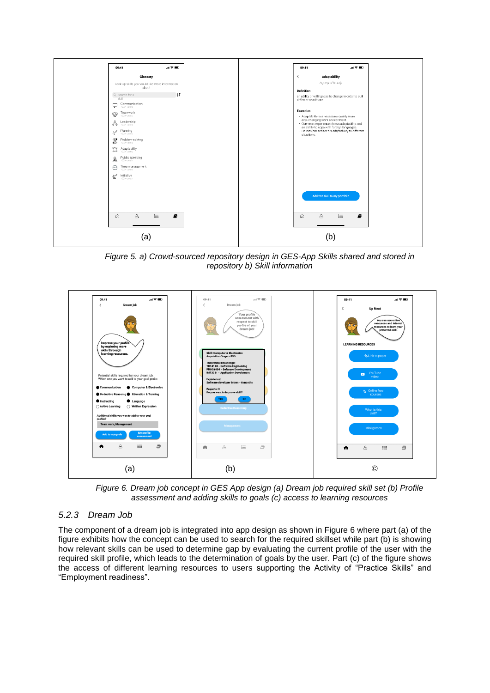

*Figure 5. a) Crowd-sourced repository design in GES-App Skills shared and stored in repository b) Skill information*



*Figure 6. Dream job concept in GES App design (a) Dream job required skill set (b) Profile assessment and adding skills to goals (c) access to learning resources*

## <span id="page-7-0"></span>*5.2.3 Dream Job*

The component of a dream job is integrated into app design as shown in [Figure 6](#page-7-0) where part (a) of the figure exhibits how the concept can be used to search for the required skillset while part (b) is showing how relevant skills can be used to determine gap by evaluating the current profile of the user with the required skill profile, which leads to the determination of goals by the user. Part (c) of the figure shows the access of different learning resources to users supporting the Activity of "Practice Skills" and "Employment readiness".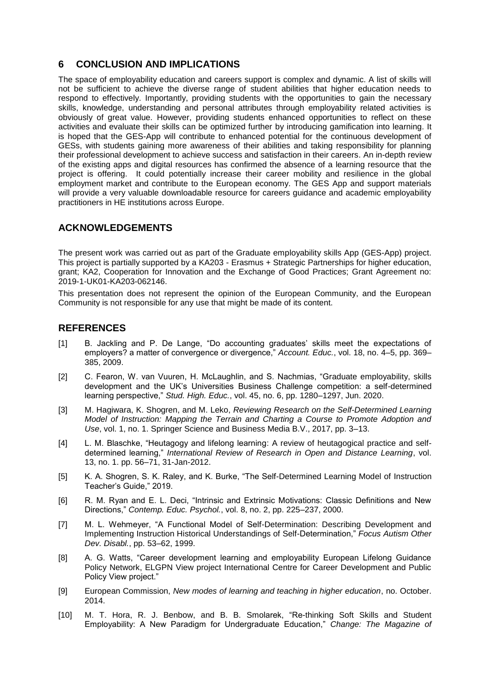## **6 CONCLUSION AND IMPLICATIONS**

The space of employability education and careers support is complex and dynamic. A list of skills will not be sufficient to achieve the diverse range of student abilities that higher education needs to respond to effectively. Importantly, providing students with the opportunities to gain the necessary skills, knowledge, understanding and personal attributes through employability related activities is obviously of great value. However, providing students enhanced opportunities to reflect on these activities and evaluate their skills can be optimized further by introducing gamification into learning. It is hoped that the GES-App will contribute to enhanced potential for the continuous development of GESs, with students gaining more awareness of their abilities and taking responsibility for planning their professional development to achieve success and satisfaction in their careers. An in-depth review of the existing apps and digital resources has confirmed the absence of a learning resource that the project is offering. It could potentially increase their career mobility and resilience in the global employment market and contribute to the European economy. The GES App and support materials will provide a very valuable downloadable resource for careers guidance and academic employability practitioners in HE institutions across Europe.

## **ACKNOWLEDGEMENTS**

The present work was carried out as part of the Graduate employability skills App (GES-App) project. This project is partially supported by a KA203 - Erasmus + Strategic Partnerships for higher education, grant; KA2, Cooperation for Innovation and the Exchange of Good Practices; Grant Agreement no: 2019-1-UK01-KA203-062146.

This presentation does not represent the opinion of the European Community, and the European Community is not responsible for any use that might be made of its content.

## **REFERENCES**

- [1] B. Jackling and P. De Lange, "Do accounting graduates' skills meet the expectations of employers? a matter of convergence or divergence," *Account. Educ.*, vol. 18, no. 4–5, pp. 369– 385, 2009.
- [2] C. Fearon, W. van Vuuren, H. McLaughlin, and S. Nachmias, "Graduate employability, skills development and the UK"s Universities Business Challenge competition: a self-determined learning perspective," *Stud. High. Educ.*, vol. 45, no. 6, pp. 1280–1297, Jun. 2020.
- [3] M. Hagiwara, K. Shogren, and M. Leko, *Reviewing Research on the Self-Determined Learning Model of Instruction: Mapping the Terrain and Charting a Course to Promote Adoption and Use*, vol. 1, no. 1. Springer Science and Business Media B.V., 2017, pp. 3–13.
- [4] L. M. Blaschke, "Heutagogy and lifelong learning: A review of heutagogical practice and selfdetermined learning," *International Review of Research in Open and Distance Learning*, vol. 13, no. 1. pp. 56–71, 31-Jan-2012.
- [5] K. A. Shogren, S. K. Raley, and K. Burke, "The Self-Determined Learning Model of Instruction Teacher"s Guide," 2019.
- [6] R. M. Ryan and E. L. Deci, "Intrinsic and Extrinsic Motivations: Classic Definitions and New Directions," *Contemp. Educ. Psychol.*, vol. 8, no. 2, pp. 225–237, 2000.
- [7] M. L. Wehmeyer, "A Functional Model of Self-Determination: Describing Development and Implementing Instruction Historical Understandings of Self-Determination," *Focus Autism Other Dev. Disabl.*, pp. 53–62, 1999.
- [8] A. G. Watts, "Career development learning and employability European Lifelong Guidance Policy Network, ELGPN View project International Centre for Career Development and Public Policy View project."
- [9] European Commission, *New modes of learning and teaching in higher education*, no. October. 2014.
- [10] M. T. Hora, R. J. Benbow, and B. B. Smolarek, "Re-thinking Soft Skills and Student Employability: A New Paradigm for Undergraduate Education," *Change: The Magazine of*